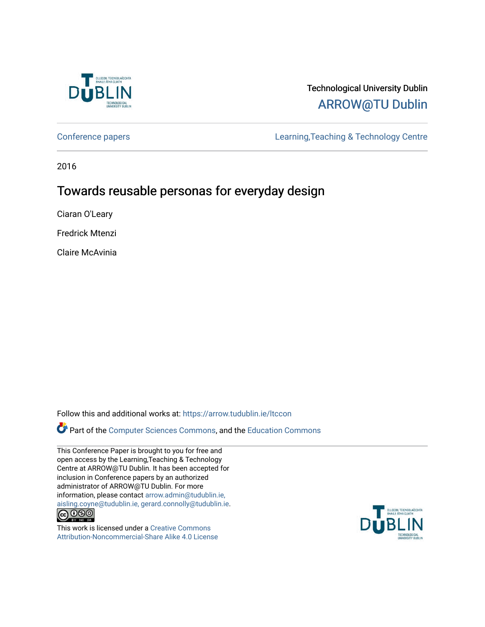

# Technological University Dublin [ARROW@TU Dublin](https://arrow.tudublin.ie/)

[Conference papers](https://arrow.tudublin.ie/ltccon) [Learning,Teaching & Technology Centre](https://arrow.tudublin.ie/ltc) 

2016

# Towards reusable personas for everyday design

Ciaran O'Leary

Fredrick Mtenzi

Claire McAvinia

Follow this and additional works at: [https://arrow.tudublin.ie/ltccon](https://arrow.tudublin.ie/ltccon?utm_source=arrow.tudublin.ie%2Fltccon%2F58&utm_medium=PDF&utm_campaign=PDFCoverPages)

Part of the [Computer Sciences Commons](http://network.bepress.com/hgg/discipline/142?utm_source=arrow.tudublin.ie%2Fltccon%2F58&utm_medium=PDF&utm_campaign=PDFCoverPages), and the [Education Commons](http://network.bepress.com/hgg/discipline/784?utm_source=arrow.tudublin.ie%2Fltccon%2F58&utm_medium=PDF&utm_campaign=PDFCoverPages)

This Conference Paper is brought to you for free and open access by the Learning,Teaching & Technology Centre at ARROW@TU Dublin. It has been accepted for inclusion in Conference papers by an authorized administrator of ARROW@TU Dublin. For more information, please contact [arrow.admin@tudublin.ie,](mailto:arrow.admin@tudublin.ie,%20aisling.coyne@tudublin.ie,%20gerard.connolly@tudublin.ie)  [aisling.coyne@tudublin.ie, gerard.connolly@tudublin.ie](mailto:arrow.admin@tudublin.ie,%20aisling.coyne@tudublin.ie,%20gerard.connolly@tudublin.ie).



This work is licensed under a [Creative Commons](http://creativecommons.org/licenses/by-nc-sa/4.0/) [Attribution-Noncommercial-Share Alike 4.0 License](http://creativecommons.org/licenses/by-nc-sa/4.0/)

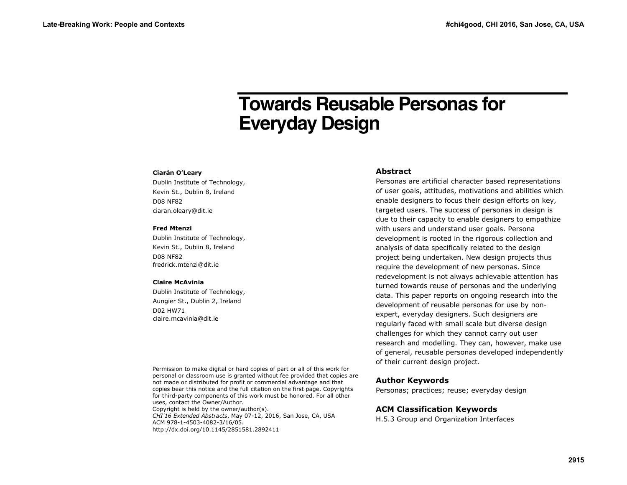# **Towards Reusable Personas for Everyday Design**

#### **Ciarán O'Leary**

Dublin Institute of Technology, Kevin St., Dublin 8, Ireland D08 NF82 ciaran.oleary@dit.ie

#### **Fred Mtenzi**

Dublin Institute of Technology, Kevin St., Dublin 8, Ireland D08 NF82 fredrick.mtenzi@dit.ie

#### **Claire McAvinia**

Dublin Institute of Technology, Aungier St., Dublin 2, Ireland D02 HW71 claire.mcavinia@dit.ie

Permission to make digital or hard copies of part or all of this work for personal or classroom use is granted without fee provided that copies are not made or distributed for profit or commercial advantage and that copies bear this notice and the full citation on the first page. Copyrights for third-party components of this work must be honored. For all other uses, contact the Owner/Author. Copyright is held by the owner/author(s). *CHI'16 Extended Abstracts*, May 07-12, 2016, San Jose, CA, USA ACM 978-1-4503-4082-3/16/05. http://dx.doi.org/10.1145/2851581.2892411

## **Abstract**

Personas are artificial character based representations of user goals, attitudes, motivations and abilities which enable designers to focus their design efforts on key, targeted users. The success of personas in design is due to their capacity to enable designers to empathize with users and understand user goals. Persona development is rooted in the rigorous collection and analysis of data specifically related to the design project being undertaken. New design projects thus require the development of new personas. Since redevelopment is not always achievable attention has turned towards reuse of personas and the underlying data. This paper reports on ongoing research into the development of reusable personas for use by nonexpert, everyday designers. Such designers are regularly faced with small scale but diverse design challenges for which they cannot carry out user research and modelling. They can, however, make use of general, reusable personas developed independently of their current design project.

# **Author Keywords**

Personas; practices; reuse; everyday design

# **ACM Classification Keywords**

H.5.3 Group and Organization Interfaces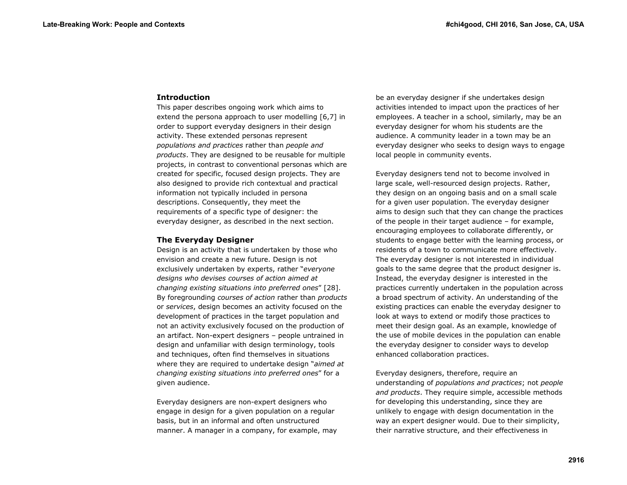#### **Introduction**

This paper describes ongoing work which aims to extend the persona approach to user modelling [6,7] in order to support everyday designers in their design activity. These extended personas represent *populations and practices* rather than *people and products*. They are designed to be reusable for multiple projects, in contrast to conventional personas which are created for specific, focused design projects. They are also designed to provide rich contextual and practical information not typically included in persona descriptions. Consequently, they meet the requirements of a specific type of designer: the everyday designer, as described in the next section.

# **The Everyday Designer**

Design is an activity that is undertaken by those who envision and create a new future. Design is not exclusively undertaken by experts, rather "*everyone designs who devises courses of action aimed at changing existing situations into preferred ones*" [28]. By foregrounding *courses of action* rather than *products* or *services*, design becomes an activity focused on the development of practices in the target population and not an activity exclusively focused on the production of an artifact. Non-expert designers – people untrained in design and unfamiliar with design terminology, tools and techniques, often find themselves in situations where they are required to undertake design "*aimed at changing existing situations into preferred ones*" for a given audience.

Everyday designers are non-expert designers who engage in design for a given population on a regular basis, but in an informal and often unstructured manner. A manager in a company, for example, may be an everyday designer if she undertakes design activities intended to impact upon the practices of her employees. A teacher in a school, similarly, may be an everyday designer for whom his students are the audience. A community leader in a town may be an everyday designer who seeks to design ways to engage local people in community events.

Everyday designers tend not to become involved in large scale, well-resourced design projects. Rather, they design on an ongoing basis and on a small scale for a given user population. The everyday designer aims to design such that they can change the practices of the people in their target audience – for example, encouraging employees to collaborate differently, or students to engage better with the learning process, or residents of a town to communicate more effectively. The everyday designer is not interested in individual goals to the same degree that the product designer is. Instead, the everyday designer is interested in the practices currently undertaken in the population across a broad spectrum of activity. An understanding of the existing practices can enable the everyday designer to look at ways to extend or modify those practices to meet their design goal. As an example, knowledge of the use of mobile devices in the population can enable the everyday designer to consider ways to develop enhanced collaboration practices.

Everyday designers, therefore, require an understanding of *populations and practices*; not *people and products*. They require simple, accessible methods for developing this understanding, since they are unlikely to engage with design documentation in the way an expert designer would. Due to their simplicity, their narrative structure, and their effectiveness in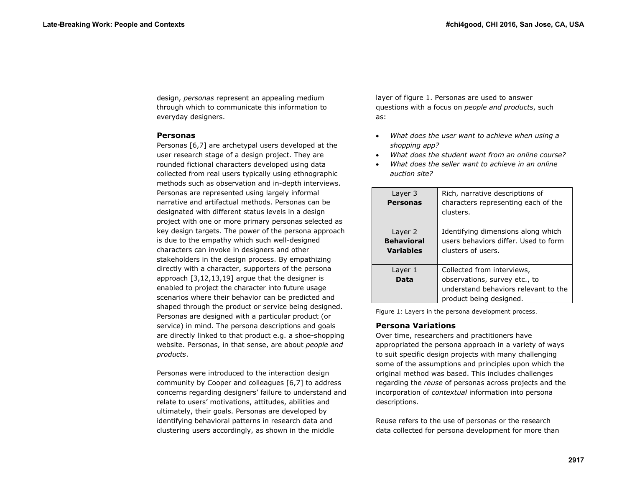design, *personas* represent an appealing medium through which to communicate this information to everyday designers.

#### **Personas**

Personas [6,7] are archetypal users developed at the user research stage of a design project. They are rounded fictional characters developed using data collected from real users typically using ethnographic methods such as observation and in-depth interviews. Personas are represented using largely informal narrative and artifactual methods. Personas can be designated with different status levels in a design project with one or more primary personas selected as key design targets. The power of the persona approach is due to the empathy which such well-designed characters can invoke in designers and other stakeholders in the design process. By empathizing directly with a character, supporters of the persona approach [3,12,13,19] argue that the designer is enabled to project the character into future usage scenarios where their behavior can be predicted and shaped through the product or service being designed. Personas are designed with a particular product (or service) in mind. The persona descriptions and goals are directly linked to that product e.g. a shoe-shopping website. Personas, in that sense, are about *people and products*.

Personas were introduced to the interaction design community by Cooper and colleagues [6,7] to address concerns regarding designers' failure to understand and relate to users' motivations, attitudes, abilities and ultimately, their goals. Personas are developed by identifying behavioral patterns in research data and clustering users accordingly, as shown in the middle

layer of figure 1. Personas are used to answer questions with a focus on *people and products*, such as:

- . *What does the user want to achieve when using a shopping app?*
- . *What does the student want from an online course?*
- . *What does the seller want to achieve in an online auction site?*

| Layer 3<br><b>Personas</b>                       | Rich, narrative descriptions of<br>characters representing each of the<br>clusters.                                            |
|--------------------------------------------------|--------------------------------------------------------------------------------------------------------------------------------|
| Layer 2<br><b>Behavioral</b><br><b>Variables</b> | Identifying dimensions along which<br>users behaviors differ. Used to form<br>clusters of users.                               |
| Layer 1<br><b>Data</b>                           | Collected from interviews,<br>observations, survey etc., to<br>understand behaviors relevant to the<br>product being designed. |

Figure 1: Layers in the persona development process.

# **Persona Variations**

Over time, researchers and practitioners have appropriated the persona approach in a variety of ways to suit specific design projects with many challenging some of the assumptions and principles upon which the original method was based. This includes challenges regarding the *reuse* of personas across projects and the incorporation of *contextual* information into persona descriptions.

Reuse refers to the use of personas or the research data collected for persona development for more than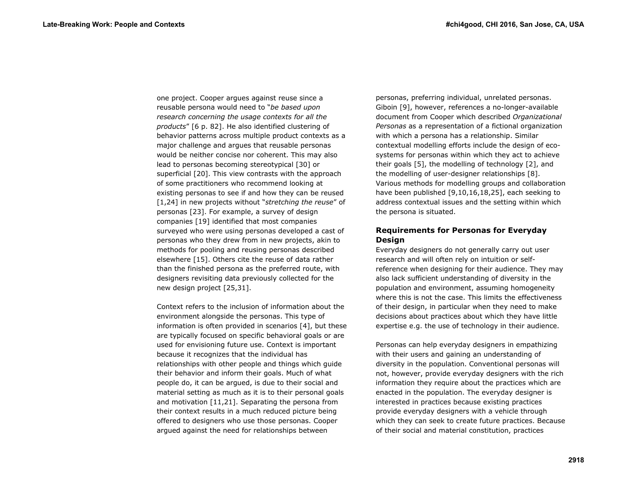one project. Cooper argues against reuse since a reusable persona would need to "*be based upon research concerning the usage contexts for all the products*" [6 p. 82]. He also identified clustering of behavior patterns across multiple product contexts as a major challenge and argues that reusable personas would be neither concise nor coherent. This may also lead to personas becoming stereotypical [30] or superficial [20]. This view contrasts with the approach of some practitioners who recommend looking at existing personas to see if and how they can be reused [1,24] in new projects without "*stretching the reuse*" of personas [23]. For example, a survey of design companies [19] identified that most companies surveyed who were using personas developed a cast of personas who they drew from in new projects, akin to methods for pooling and reusing personas described elsewhere [15]. Others cite the reuse of data rather than the finished persona as the preferred route, with designers revisiting data previously collected for the new design project [25,31].

Context refers to the inclusion of information about the environment alongside the personas. This type of information is often provided in scenarios [4], but these are typically focused on specific behavioral goals or are used for envisioning future use. Context is important because it recognizes that the individual has relationships with other people and things which guide their behavior and inform their goals. Much of what people do, it can be argued, is due to their social and material setting as much as it is to their personal goals and motivation [11,21]. Separating the persona from their context results in a much reduced picture being offered to designers who use those personas. Cooper argued against the need for relationships between

personas, preferring individual, unrelated personas. Giboin [9], however, references a no-longer-available document from Cooper which described *Organizational Personas* as a representation of a fictional organization with which a persona has a relationship. Similar contextual modelling efforts include the design of ecosystems for personas within which they act to achieve their goals [5], the modelling of technology [2], and the modelling of user-designer relationships [8]. Various methods for modelling groups and collaboration have been published [9,10,16,18,25], each seeking to address contextual issues and the setting within which the persona is situated.

# **Requirements for Personas for Everyday Design**

Everyday designers do not generally carry out user research and will often rely on intuition or selfreference when designing for their audience. They may also lack sufficient understanding of diversity in the population and environment, assuming homogeneity where this is not the case. This limits the effectiveness of their design, in particular when they need to make decisions about practices about which they have little expertise e.g. the use of technology in their audience.

Personas can help everyday designers in empathizing with their users and gaining an understanding of diversity in the population. Conventional personas will not, however, provide everyday designers with the rich information they require about the practices which are enacted in the population. The everyday designer is interested in practices because existing practices provide everyday designers with a vehicle through which they can seek to create future practices. Because of their social and material constitution, practices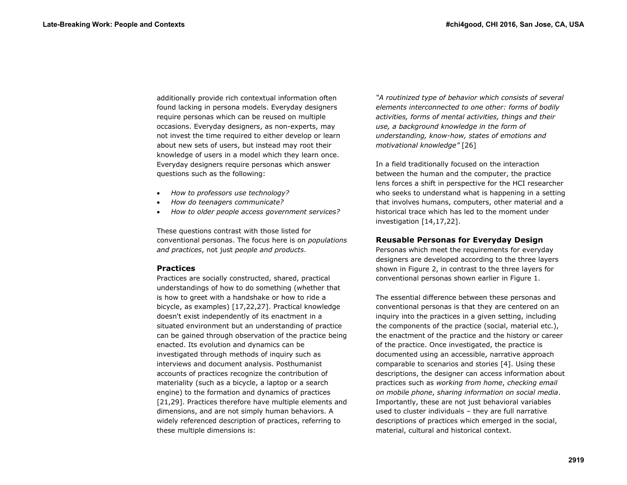additionally provide rich contextual information often found lacking in persona models. Everyday designers require personas which can be reused on multiple occasions. Everyday designers, as non-experts, may not invest the time required to either develop or learn about new sets of users, but instead may root their knowledge of users in a model which they learn once. Everyday designers require personas which answer questions such as the following:

- . *How to professors use technology?*
- . *How do teenagers communicate?*
- . *How to older people access government services?*

These questions contrast with those listed for conventional personas. The focus here is on *populations and practices*, not just *people and products*.

#### **Practices**

Practices are socially constructed, shared, practical understandings of how to do something (whether that is how to greet with a handshake or how to ride a bicycle, as examples) [17,22,27]. Practical knowledge doesn't exist independently of its enactment in a situated environment but an understanding of practice can be gained through observation of the practice being enacted. Its evolution and dynamics can be investigated through methods of inquiry such as interviews and document analysis. Posthumanist accounts of practices recognize the contribution of materiality (such as a bicycle, a laptop or a search engine) to the formation and dynamics of practices [21,29]. Practices therefore have multiple elements and dimensions, and are not simply human behaviors. A widely referenced description of practices, referring to these multiple dimensions is:

*"A routinized type of behavior which consists of several elements interconnected to one other: forms of bodily activities, forms of mental activities, things and their use, a background knowledge in the form of understanding, know-how, states of emotions and motivational knowledge"* [26]

In a field traditionally focused on the interaction between the human and the computer, the practice lens forces a shift in perspective for the HCI researcher who seeks to understand what is happening in a setting that involves humans, computers, other material and a historical trace which has led to the moment under investigation [14,17,22].

## **Reusable Personas for Everyday Design**

Personas which meet the requirements for everyday designers are developed according to the three layers shown in Figure 2, in contrast to the three layers for conventional personas shown earlier in Figure 1.

The essential difference between these personas and conventional personas is that they are centered on an inquiry into the practices in a given setting, including the components of the practice (social, material etc.), the enactment of the practice and the history or career of the practice. Once investigated, the practice is documented using an accessible, narrative approach comparable to scenarios and stories [4]. Using these descriptions, the designer can access information about practices such as *working from home*, *checking email on mobile phone*, *sharing information on social media*. Importantly, these are not just behavioral variables used to cluster individuals – they are full narrative descriptions of practices which emerged in the social, material, cultural and historical context.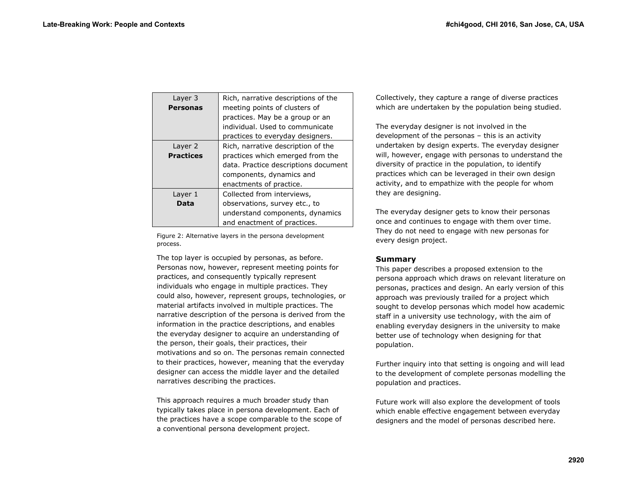| Layer 3<br><b>Personas</b> | Rich, narrative descriptions of the<br>meeting points of clusters of<br>practices. May be a group or an<br>individual. Used to communicate |
|----------------------------|--------------------------------------------------------------------------------------------------------------------------------------------|
|                            | practices to everyday designers.                                                                                                           |
| Layer 2                    | Rich, narrative description of the                                                                                                         |
| <b>Practices</b>           | practices which emerged from the                                                                                                           |
|                            | data. Practice descriptions document                                                                                                       |
|                            | components, dynamics and                                                                                                                   |
|                            | enactments of practice.                                                                                                                    |
| Layer 1                    | Collected from interviews,                                                                                                                 |
| Data                       | observations, survey etc., to                                                                                                              |
|                            | understand components, dynamics                                                                                                            |
|                            | and enactment of practices.                                                                                                                |

Figure 2: Alternative layers in the persona development process.

The top layer is occupied by personas, as before. Personas now, however, represent meeting points for practices, and consequently typically represent individuals who engage in multiple practices. They could also, however, represent groups, technologies, or material artifacts involved in multiple practices. The narrative description of the persona is derived from the information in the practice descriptions, and enables the everyday designer to acquire an understanding of the person, their goals, their practices, their motivations and so on. The personas remain connected to their practices, however, meaning that the everyday designer can access the middle layer and the detailed narratives describing the practices.

This approach requires a much broader study than typically takes place in persona development. Each of the practices have a scope comparable to the scope of a conventional persona development project.

Collectively, they capture a range of diverse practices which are undertaken by the population being studied.

The everyday designer is not involved in the development of the personas – this is an activity undertaken by design experts. The everyday designer will, however, engage with personas to understand the diversity of practice in the population, to identify practices which can be leveraged in their own design activity, and to empathize with the people for whom they are designing.

The everyday designer gets to know their personas once and continues to engage with them over time. They do not need to engage with new personas for every design project.

# **Summary**

This paper describes a proposed extension to the persona approach which draws on relevant literature on personas, practices and design. An early version of this approach was previously trailed for a project which sought to develop personas which model how academic staff in a university use technology, with the aim of enabling everyday designers in the university to make better use of technology when designing for that population.

Further inquiry into that setting is ongoing and will lead to the development of complete personas modelling the population and practices.

Future work will also explore the development of tools which enable effective engagement between everyday designers and the model of personas described here.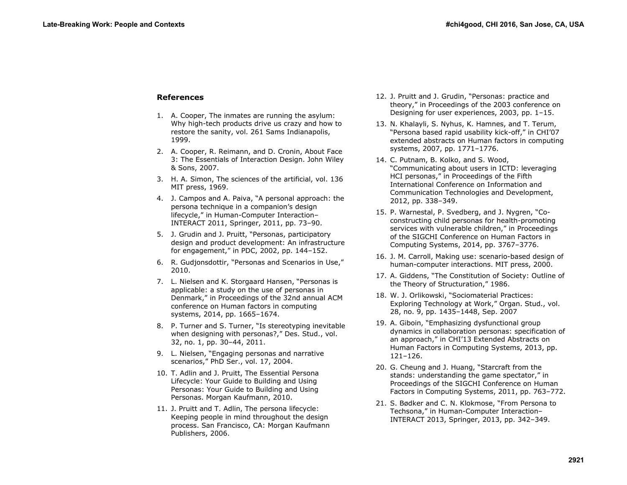# **References**

- 1. A. Cooper, The inmates are running the asylum: Why high-tech products drive us crazy and how to restore the sanity, vol. 261 Sams Indianapolis, 1999.
- 2. A. Cooper, R. Reimann, and D. Cronin, About Face 3: The Essentials of Interaction Design. John Wiley & Sons, 2007.
- 3. H. A. Simon, The sciences of the artificial, vol. 136 MIT press, 1969.
- 4. J. Campos and A. Paiva, "A personal approach: the persona technique in a companion's design lifecycle," in Human-Computer Interaction– INTERACT 2011, Springer, 2011, pp. 73–90.
- 5. J. Grudin and J. Pruitt, "Personas, participatory design and product development: An infrastructure for engagement," in PDC, 2002, pp. 144–152.
- 6. R. Gudjonsdottir, "Personas and Scenarios in Use," 2010.
- 7. L. Nielsen and K. Storgaard Hansen, "Personas is applicable: a study on the use of personas in Denmark," in Proceedings of the 32nd annual ACM conference on Human factors in computing systems, 2014, pp. 1665–1674.
- 8. P. Turner and S. Turner, "Is stereotyping inevitable when designing with personas?," Des. Stud., vol. 32, no. 1, pp. 30–44, 2011.
- 9. L. Nielsen, "Engaging personas and narrative scenarios," PhD Ser., vol. 17, 2004.
- 10. T. Adlin and J. Pruitt, The Essential Persona Lifecycle: Your Guide to Building and Using Personas: Your Guide to Building and Using Personas. Morgan Kaufmann, 2010.
- 11. J. Pruitt and T. Adlin, The persona lifecycle: Keeping people in mind throughout the design process. San Francisco, CA: Morgan Kaufmann Publishers, 2006.
- 12. J. Pruitt and J. Grudin, "Personas: practice and theory," in Proceedings of the 2003 conference on Designing for user experiences, 2003, pp. 1–15.
- 13. N. Khalayli, S. Nyhus, K. Hamnes, and T. Terum, "Persona based rapid usability kick-off," in CHI'07 extended abstracts on Human factors in computing systems, 2007, pp. 1771–1776.
- 14. C. Putnam, B. Kolko, and S. Wood, "Communicating about users in ICTD: leveraging HCI personas," in Proceedings of the Fifth International Conference on Information and Communication Technologies and Development, 2012, pp. 338–349.
- 15. P. Warnestal, P. Svedberg, and J. Nygren, "Coconstructing child personas for health-promoting services with vulnerable children," in Proceedings of the SIGCHI Conference on Human Factors in Computing Systems, 2014, pp. 3767–3776.
- 16. J. M. Carroll, Making use: scenario-based design of human-computer interactions. MIT press, 2000.
- 17. A. Giddens, "The Constitution of Society: Outline of the Theory of Structuration," 1986.
- 18. W. J. Orlikowski, "Sociomaterial Practices: Exploring Technology at Work," Organ. Stud., vol. 28, no. 9, pp. 1435–1448, Sep. 2007
- 19. A. Giboin, "Emphasizing dysfunctional group dynamics in collaboration personas: specification of an approach," in CHI'13 Extended Abstracts on Human Factors in Computing Systems, 2013, pp. 121–126.
- 20. G. Cheung and J. Huang, "Starcraft from the stands: understanding the game spectator," in Proceedings of the SIGCHI Conference on Human Factors in Computing Systems, 2011, pp. 763–772.
- 21. S. Bødker and C. N. Klokmose, "From Persona to Techsona," in Human-Computer Interaction– INTERACT 2013, Springer, 2013, pp. 342–349.